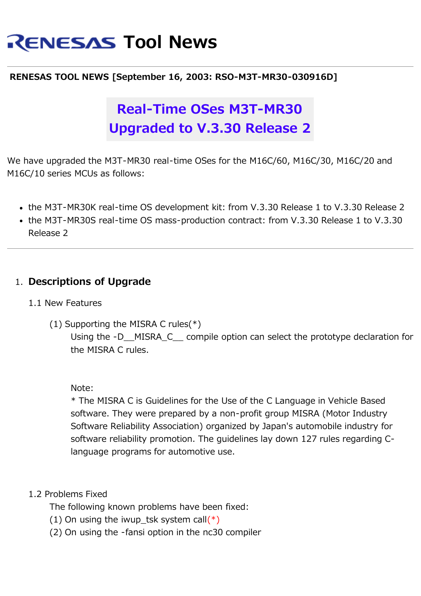# **RENESAS Tool News**

#### **RENESAS TOOL NEWS [September 16, 2003: RSO-M3T-MR30-030916D]**

## **Real-Time OSes M3T-MR30 Upgraded to V.3.30 Release 2**

We have upgraded the M3T-MR30 real-time OSes for the M16C/60, M16C/30, M16C/20 and M16C/10 series MCUs as follows:

- the M3T-MR30K real-time OS development kit: from V.3.30 Release 1 to V.3.30 Release 2
- the M3T-MR30S real-time OS mass-production contract: from V.3.30 Release 1 to V.3.30 Release 2

### 1. **Descriptions of Upgrade**

#### 1.1 New Features

(1) Supporting the MISRA C rules(\*) Using the -D\_\_MISRA\_C\_\_ compile option can select the prototype declaration for the MISRA C rules.

#### Note:

\* The MISRA C is Guidelines for the Use of the C Language in Vehicle Based software. They were prepared by a non-profit group MISRA (Motor Industry Software Reliability Association) organized by Japan's automobile industry for software reliability promotion. The guidelines lay down 127 rules regarding Clanguage programs for automotive use.

#### 1.2 Problems Fixed

The following known problems have been fixed:

- (1) On using the iwup tsk system call(\*)
- (2) On using the -fansi option in the nc30 compiler